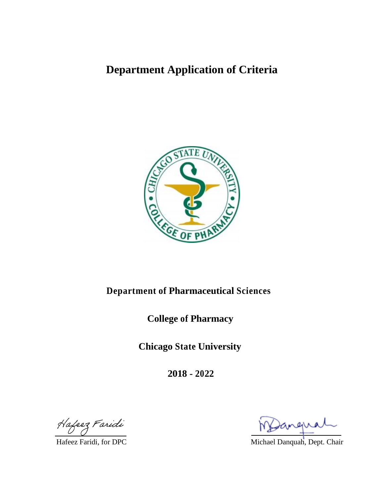# **Department Application of Criteria**



# **Department of Pharmaceutical Sciences**

**College of Pharmacy**

**Chicago State University**

**2018 - 2022**

Hafeez Faridi

Hafeez Faridi, for DPC Michael Danquah, Dept. Chair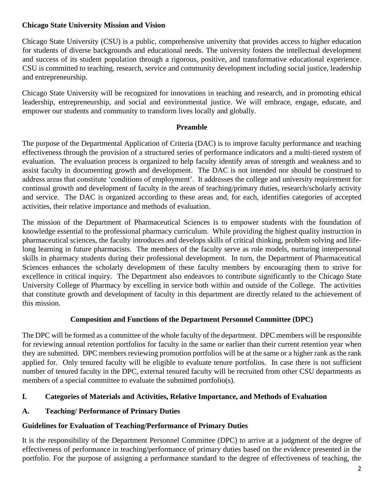## **Chicago State University Mission and Vision**

Chicago State University (CSU) is a public, comprehensive university that provides access to higher education for students of diverse backgrounds and educational needs. The university fosters the intellectual development and success of its student population through a rigorous, positive, and transformative educational experience. CSU is committed to teaching, research, service and community development including social justice, leadership and entrepreneurship.

Chicago State University will be recognized for innovations in teaching and research, and in promoting ethical leadership, entrepreneurship, and social and environmental justice. We will embrace, engage, educate, and empower our students and community to transform lives locally and globally.

## **Preamble**

The purpose of the Departmental Application of Criteria (DAC) is to improve faculty performance and teaching effectiveness through the provision of a structured series of performance indicators and a multi-tiered system of evaluation. The evaluation process is organized to help faculty identify areas of strength and weakness and to assist faculty in documenting growth and development. The DAC is not intended nor should be construed to address areas that constitute 'conditions of employment'. It addresses the college and university requirement for continual growth and development of faculty in the areas of teaching/primary duties, research/scholarly activity and service. The DAC is organized according to these areas and, for each, identifies categories of accepted activities, their relative importance and methods of evaluation.

The mission of the Department of Pharmaceutical Sciences is to empower students with the foundation of knowledge essential to the professional pharmacy curriculum. While providing the highest quality instruction in pharmaceutical sciences, the faculty introduces and develops skills of critical thinking, problem solving and lifelong learning in future pharmacists. The members of the faculty serve as role models, nurturing interpersonal skills in pharmacy students during their professional development. In turn, the Department of Pharmaceutical Sciences enhances the scholarly development of these faculty members by encouraging them to strive for excellence in critical inquiry. The Department also endeavors to contribute significantly to the Chicago State University College of Pharmacy by excelling in service both within and outside of the College. The activities that constitute growth and development of faculty in this department are directly related to the achievement of this mission.

## **Composition and Functions of the Department Personnel Committee (DPC)**

The DPC will be formed as a committee of the whole faculty of the department. DPC members will be responsible for reviewing annual retention portfolios for faculty in the same or earlier than their current retention year when they are submitted. DPC members reviewing promotion portfolios will be at the same or a higher rank as the rank applied for. Only tenured faculty will be eligible to evaluate tenure portfolios. In case there is not sufficient number of tenured faculty in the DPC, external tenured faculty will be recruited from other CSU departments as members of a special committee to evaluate the submitted portfolio(s).

## **I. Categories of Materials and Activities, Relative Importance, and Methods of Evaluation**

## **A. Teaching/ Performance of Primary Duties**

## **Guidelines for Evaluation of Teaching/Performance of Primary Duties**

It is the responsibility of the Department Personnel Committee (DPC) to arrive at a judgment of the degree of effectiveness of performance in teaching/performance of primary duties based on the evidence presented in the portfolio. For the purpose of assigning a performance standard to the degree of effectiveness of teaching, the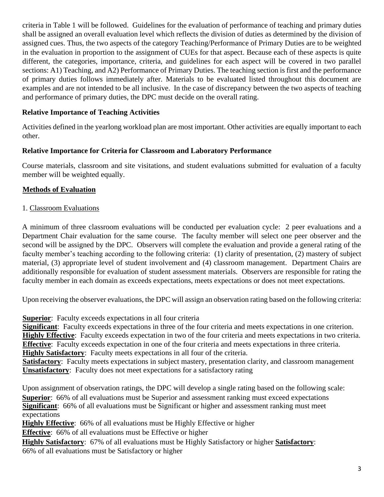criteria in Table 1 will be followed. Guidelines for the evaluation of performance of teaching and primary duties shall be assigned an overall evaluation level which reflects the division of duties as determined by the division of assigned cues. Thus, the two aspects of the category Teaching/Performance of Primary Duties are to be weighted in the evaluation in proportion to the assignment of CUEs for that aspect. Because each of these aspects is quite different, the categories, importance, criteria, and guidelines for each aspect will be covered in two parallel sections: A1) Teaching, and A2) Performance of Primary Duties. The teaching section is first and the performance of primary duties follows immediately after. Materials to be evaluated listed throughout this document are examples and are not intended to be all inclusive. In the case of discrepancy between the two aspects of teaching and performance of primary duties, the DPC must decide on the overall rating.

## **Relative Importance of Teaching Activities**

Activities defined in the yearlong workload plan are most important. Other activities are equally important to each other.

## **Relative Importance for Criteria for Classroom and Laboratory Performance**

Course materials, classroom and site visitations, and student evaluations submitted for evaluation of a faculty member will be weighted equally.

## **Methods of Evaluation**

## 1. Classroom Evaluations

A minimum of three classroom evaluations will be conducted per evaluation cycle: 2 peer evaluations and a Department Chair evaluation for the same course. The faculty member will select one peer observer and the second will be assigned by the DPC. Observers will complete the evaluation and provide a general rating of the faculty member's teaching according to the following criteria: (1) clarity of presentation, (2) mastery of subject material, (3) appropriate level of student involvement and (4) classroom management. Department Chairs are additionally responsible for evaluation of student assessment materials. Observers are responsible for rating the faculty member in each domain as exceeds expectations, meets expectations or does not meet expectations.

Upon receiving the observer evaluations, the DPC will assign an observation rating based on the following criteria:

**Superior**: Faculty exceeds expectations in all four criteria

**Significant**: Faculty exceeds expectations in three of the four criteria and meets expectations in one criterion. **Highly Effective**: Faculty exceeds expectation in two of the four criteria and meets expectations in two criteria. **Effective**: Faculty exceeds expectation in one of the four criteria and meets expectations in three criteria. **Highly Satisfactory**: Faculty meets expectations in all four of the criteria.

**Satisfactory**: Faculty meets expectations in subject mastery, presentation clarity, and classroom management **Unsatisfactory**: Faculty does not meet expectations for a satisfactory rating

Upon assignment of observation ratings, the DPC will develop a single rating based on the following scale: **Superior**: 66% of all evaluations must be Superior and assessment ranking must exceed expectations **Significant**: 66% of all evaluations must be Significant or higher and assessment ranking must meet expectations

**Highly Effective**: 66% of all evaluations must be Highly Effective or higher

**Effective**: 66% of all evaluations must be Effective or higher

**Highly Satisfactory**: 67% of all evaluations must be Highly Satisfactory or higher **Satisfactory**: 66% of all evaluations must be Satisfactory or higher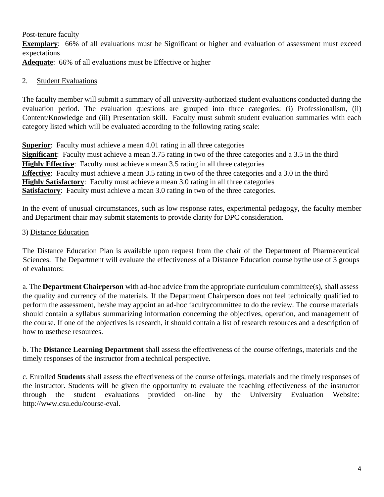Post-tenure faculty

**Exemplary**: 66% of all evaluations must be Significant or higher and evaluation of assessment must exceed expectations

**Adequate**: 66% of all evaluations must be Effective or higher

## 2. Student Evaluations

The faculty member will submit a summary of all university-authorized student evaluations conducted during the evaluation period. The evaluation questions are grouped into three categories: (i) Professionalism, (ii) Content/Knowledge and (iii) Presentation skill. Faculty must submit student evaluation summaries with each category listed which will be evaluated according to the following rating scale:

**Superior**: Faculty must achieve a mean 4.01 rating in all three categories **Significant**: Faculty must achieve a mean 3.75 rating in two of the three categories and a 3.5 in the third **Highly Effective**: Faculty must achieve a mean 3.5 rating in all three categories **Effective**: Faculty must achieve a mean 3.5 rating in two of the three categories and a 3.0 in the third **Highly Satisfactory**: Faculty must achieve a mean 3.0 rating in all three categories **Satisfactory**: Faculty must achieve a mean 3.0 rating in two of the three categories.

In the event of unusual circumstances, such as low response rates, experimental pedagogy, the faculty member and Department chair may submit statements to provide clarity for DPC consideration.

## 3) Distance Education

The Distance Education Plan is available upon request from the chair of the Department of Pharmaceutical Sciences. The Department will evaluate the effectiveness of a Distance Education course by the use of 3 groups of evaluators:

a. The **Department Chairperson** with ad-hoc advice from the appropriate curriculum committee(s), shall assess the quality and currency of the materials. If the Department Chairperson does not feel technically qualified to perform the assessment, he/she may appoint an ad-hoc facultycommittee to do the review. The course materials should contain a syllabus summarizing information concerning the objectives, operation, and management of the course. If one of the objectives is research, it should contain a list of research resources and a description of how to usethese resources.

b. The **Distance Learning Department** shall assess the effectiveness of the course offerings, materials and the timely responses of the instructor from a technical perspective.

c. Enrolled **Students** shall assess the effectiveness of the course offerings, materials and the timely responses of the instructor. Students will be given the opportunity to evaluate the teaching effectiveness of the instructor through the student evaluations provided on-line by the University Evaluation Website: [http://www.csu.edu/course-eval.](http://www.csu.edu/course-eval)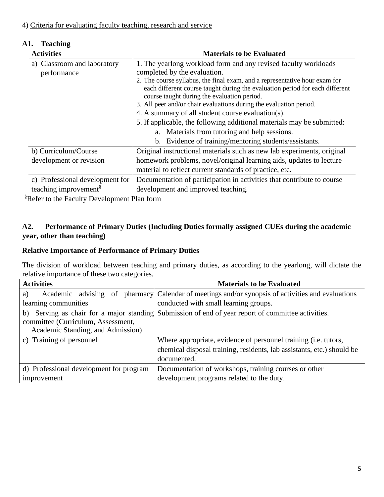## **A1. Teaching**

| <b>Activities</b>                 | <b>Materials to be Evaluated</b>                                                                                            |
|-----------------------------------|-----------------------------------------------------------------------------------------------------------------------------|
| a) Classroom and laboratory       | 1. The yearlong workload form and any revised faculty workloads                                                             |
| performance                       | completed by the evaluation.                                                                                                |
|                                   | 2. The course syllabus, the final exam, and a representative hour exam for                                                  |
|                                   | each different course taught during the evaluation period for each different<br>course taught during the evaluation period. |
|                                   | 3. All peer and/or chair evaluations during the evaluation period.                                                          |
|                                   | 4. A summary of all student course evaluation(s).                                                                           |
|                                   | 5. If applicable, the following additional materials may be submitted:                                                      |
|                                   | a. Materials from tutoring and help sessions.                                                                               |
|                                   | Evidence of training/mentoring students/assistants.<br>b.                                                                   |
| b) Curriculum/Course              | Original instructional materials such as new lab experiments, original                                                      |
| development or revision           | homework problems, novel/original learning aids, updates to lecture                                                         |
|                                   | material to reflect current standards of practice, etc.                                                                     |
| c) Professional development for   | Documentation of participation in activities that contribute to course                                                      |
| teaching improvement <sup>§</sup> | development and improved teaching.                                                                                          |

**§Refer to the Faculty Development Plan form** 

## **A2. Performance of Primary Duties (Including Duties formally assigned CUEs during the academic year, other than teaching)**

## **Relative Importance of Performance of Primary Duties**

The division of workload between teaching and primary duties, as according to the yearlong, will dictate the relative importance of these two categories.

| <b>Activities</b>                       | <b>Materials to be Evaluated</b>                                                                   |
|-----------------------------------------|----------------------------------------------------------------------------------------------------|
| a)                                      | Academic advising of pharmacy Calendar of meetings and/or synopsis of activities and evaluations   |
| learning communities                    | conducted with small learning groups.                                                              |
| committee (Curriculum, Assessment,      | b) Serving as chair for a major standing Submission of end of year report of committee activities. |
| Academic Standing, and Admission)       |                                                                                                    |
| c) Training of personnel                | Where appropriate, evidence of personnel training (i.e. tutors,                                    |
|                                         | chemical disposal training, residents, lab assistants, etc.) should be                             |
|                                         | documented.                                                                                        |
| d) Professional development for program | Documentation of workshops, training courses or other                                              |
| improvement                             | development programs related to the duty.                                                          |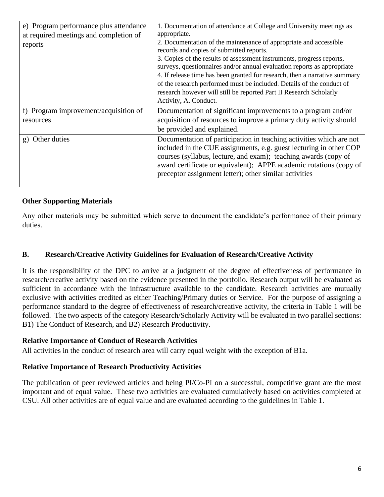| e) Program performance plus attendance<br>at required meetings and completion of<br>reports | 1. Documentation of attendance at College and University meetings as<br>appropriate.<br>2. Documentation of the maintenance of appropriate and accessible<br>records and copies of submitted reports.<br>3. Copies of the results of assessment instruments, progress reports,<br>surveys, questionnaires and/or annual evaluation reports as appropriate<br>4. If release time has been granted for research, then a narrative summary<br>of the research performed must be included. Details of the conduct of |
|---------------------------------------------------------------------------------------------|------------------------------------------------------------------------------------------------------------------------------------------------------------------------------------------------------------------------------------------------------------------------------------------------------------------------------------------------------------------------------------------------------------------------------------------------------------------------------------------------------------------|
|                                                                                             | research however will still be reported Part II Research Scholarly<br>Activity, A. Conduct.                                                                                                                                                                                                                                                                                                                                                                                                                      |
| f) Program improvement/acquisition of<br>resources                                          | Documentation of significant improvements to a program and/or<br>acquisition of resources to improve a primary duty activity should<br>be provided and explained.                                                                                                                                                                                                                                                                                                                                                |
| Other duties<br>g)                                                                          | Documentation of participation in teaching activities which are not<br>included in the CUE assignments, e.g. guest lecturing in other COP<br>courses (syllabus, lecture, and exam); teaching awards (copy of<br>award certificate or equivalent); APPE academic rotations (copy of<br>preceptor assignment letter); other similar activities                                                                                                                                                                     |

## **Other Supporting Materials**

Any other materials may be submitted which serve to document the candidate's performance of their primary duties.

#### **B. Research/Creative Activity Guidelines for Evaluation of Research/Creative Activity**

It is the responsibility of the DPC to arrive at a judgment of the degree of effectiveness of performance in research/creative activity based on the evidence presented in the portfolio. Research output will be evaluated as sufficient in accordance with the infrastructure available to the candidate. Research activities are mutually exclusive with activities credited as either Teaching/Primary duties or Service. For the purpose of assigning a performance standard to the degree of effectiveness of research/creative activity, the criteria in Table 1 will be followed. The two aspects of the category Research/Scholarly Activity will be evaluated in two parallel sections: B1) The Conduct of Research, and B2) Research Productivity.

#### **Relative Importance of Conduct of Research Activities**

All activities in the conduct of research area will carry equal weight with the exception of B1a.

## **Relative Importance of Research Productivity Activities**

The publication of peer reviewed articles and being PI/Co-PI on a successful, competitive grant are the most important and of equal value. These two activities are evaluated cumulatively based on activities completed at CSU. All other activities are of equal value and are evaluated according to the guidelines in Table 1.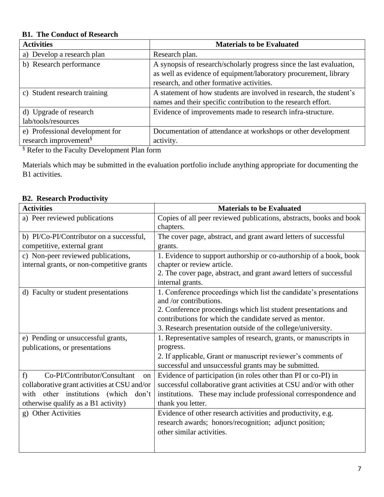## **B1. The Conduct of Research**

| <b>Activities</b>                 | <b>Materials to be Evaluated</b>                                     |
|-----------------------------------|----------------------------------------------------------------------|
| a) Develop a research plan        | Research plan.                                                       |
| b) Research performance           | A synopsis of research/scholarly progress since the last evaluation, |
|                                   | as well as evidence of equipment/laboratory procurement, library     |
|                                   | research, and other formative activities.                            |
| c) Student research training      | A statement of how students are involved in research, the student's  |
|                                   | names and their specific contribution to the research effort.        |
| d) Upgrade of research            | Evidence of improvements made to research infra-structure.           |
| lab/tools/resources               |                                                                      |
| e) Professional development for   | Documentation of attendance at workshops or other development        |
| research improvement <sup>§</sup> | activity.                                                            |

§ Refer to the Faculty Development Plan form

Materials which may be submitted in the evaluation portfolio include anything appropriate for documenting the B1 activities.

## **B2. Research Productivity**

| <b>Activities</b>                            | <b>Materials to be Evaluated</b>                                                 |
|----------------------------------------------|----------------------------------------------------------------------------------|
| a) Peer reviewed publications                | Copies of all peer reviewed publications, abstracts, books and book<br>chapters. |
| b) PI/Co-PI/Contributor on a successful,     | The cover page, abstract, and grant award letters of successful                  |
| competitive, external grant                  | grants.                                                                          |
| c) Non-peer reviewed publications,           | 1. Evidence to support authorship or co-authorship of a book, book               |
| internal grants, or non-competitive grants   | chapter or review article.                                                       |
|                                              | 2. The cover page, abstract, and grant award letters of successful               |
|                                              | internal grants.                                                                 |
| d) Faculty or student presentations          | 1. Conference proceedings which list the candidate's presentations               |
|                                              | and /or contributions.                                                           |
|                                              | 2. Conference proceedings which list student presentations and                   |
|                                              | contributions for which the candidate served as mentor.                          |
|                                              | 3. Research presentation outside of the college/university.                      |
| e) Pending or unsuccessful grants,           | 1. Representative samples of research, grants, or manuscripts in                 |
| publications, or presentations               | progress.                                                                        |
|                                              | 2. If applicable, Grant or manuscript reviewer's comments of                     |
|                                              | successful and unsuccessful grants may be submitted.                             |
| Co-PI/Contributor/Consultant<br>f<br>on      | Evidence of participation (in roles other than PI or co-PI) in                   |
| collaborative grant activities at CSU and/or | successful collaborative grant activities at CSU and/or with other               |
| with other institutions (which<br>don't      | institutions. These may include professional correspondence and                  |
| otherwise qualify as a B1 activity)          | thank you letter.                                                                |
| g) Other Activities                          | Evidence of other research activities and productivity, e.g.                     |
|                                              | research awards; honors/recognition; adjunct position;                           |
|                                              | other similar activities.                                                        |
|                                              |                                                                                  |
|                                              |                                                                                  |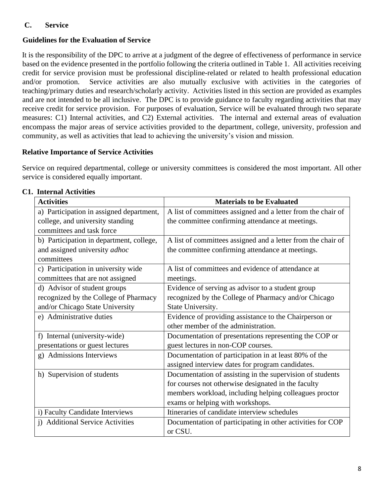## **C. Service**

## **Guidelines for the Evaluation of Service**

It is the responsibility of the DPC to arrive at a judgment of the degree of effectiveness of performance in service based on the evidence presented in the portfolio following the criteria outlined in Table 1. All activities receiving credit for service provision must be professional discipline-related or related to health professional education and/or promotion. Service activities are also mutually exclusive with activities in the categories of teaching/primary duties and research/scholarly activity. Activities listed in this section are provided as examples and are not intended to be all inclusive. The DPC is to provide guidance to faculty regarding activities that may receive credit for service provision. For purposes of evaluation, Service will be evaluated through two separate measures: C1) Internal activities, and C2) External activities. The internal and external areas of evaluation encompass the major areas of service activities provided to the department, college, university, profession and community, as well as activities that lead to achieving the university's vision and mission.

## **Relative Importance of Service Activities**

Service on required departmental, college or university committees is considered the most important. All other service is considered equally important.

| <b>Activities</b>                        | <b>Materials to be Evaluated</b>                             |
|------------------------------------------|--------------------------------------------------------------|
| a) Participation in assigned department, | A list of committees assigned and a letter from the chair of |
| college, and university standing         | the committee confirming attendance at meetings.             |
| committees and task force                |                                                              |
| b) Participation in department, college, | A list of committees assigned and a letter from the chair of |
| and assigned university <i>adhoc</i>     | the committee confirming attendance at meetings.             |
| committees                               |                                                              |
| c) Participation in university wide      | A list of committees and evidence of attendance at           |
| committees that are not assigned         | meetings.                                                    |
| d) Advisor of student groups             | Evidence of serving as advisor to a student group            |
| recognized by the College of Pharmacy    | recognized by the College of Pharmacy and/or Chicago         |
| and/or Chicago State University          | State University.                                            |
| e) Administrative duties                 | Evidence of providing assistance to the Chairperson or       |
|                                          | other member of the administration.                          |
| f) Internal (university-wide)            | Documentation of presentations representing the COP or       |
| presentations or guest lectures          | guest lectures in non-COP courses.                           |
| g) Admissions Interviews                 | Documentation of participation in at least 80% of the        |
|                                          | assigned interview dates for program candidates.             |
| h) Supervision of students               | Documentation of assisting in the supervision of students    |
|                                          | for courses not otherwise designated in the faculty          |
|                                          | members workload, including helping colleagues proctor       |
|                                          | exams or helping with workshops.                             |
| i) Faculty Candidate Interviews          | Itineraries of candidate interview schedules                 |
| i) Additional Service Activities         | Documentation of participating in other activities for COP   |
|                                          | or CSU.                                                      |

## **C1. Internal Activities**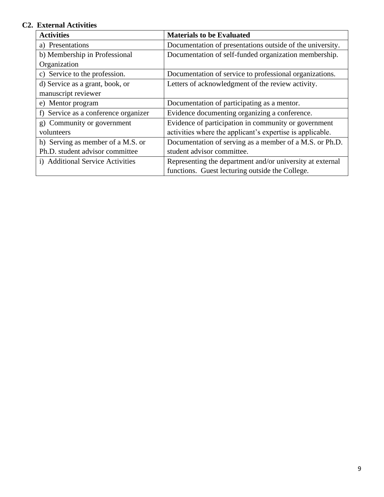## **C2. External Activities**

| <b>Activities</b>                    | <b>Materials to be Evaluated</b>                          |
|--------------------------------------|-----------------------------------------------------------|
| a) Presentations                     | Documentation of presentations outside of the university. |
| b) Membership in Professional        | Documentation of self-funded organization membership.     |
| Organization                         |                                                           |
| c) Service to the profession.        | Documentation of service to professional organizations.   |
| d) Service as a grant, book, or      | Letters of acknowledgment of the review activity.         |
| manuscript reviewer                  |                                                           |
| e) Mentor program                    | Documentation of participating as a mentor.               |
| f) Service as a conference organizer | Evidence documenting organizing a conference.             |
| g) Community or government           | Evidence of participation in community or government      |
| volunteers                           | activities where the applicant's expertise is applicable. |
| h) Serving as member of a M.S. or    | Documentation of serving as a member of a M.S. or Ph.D.   |
| Ph.D. student advisor committee      | student advisor committee.                                |
| i) Additional Service Activities     | Representing the department and/or university at external |
|                                      | functions. Guest lecturing outside the College.           |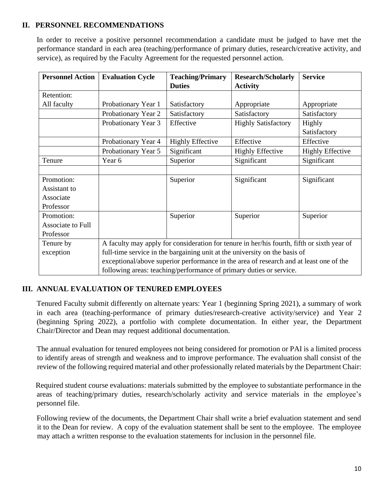## **II. PERSONNEL RECOMMENDATIONS**

In order to receive a positive personnel recommendation a candidate must be judged to have met the performance standard in each area (teaching/performance of primary duties, research/creative activity, and service), as required by the Faculty Agreement for the requested personnel action.

| <b>Personnel Action</b> | <b>Evaluation Cycle</b>                                                                    | <b>Teaching/Primary</b>                                                                | <b>Research/Scholarly</b>  | <b>Service</b>          |
|-------------------------|--------------------------------------------------------------------------------------------|----------------------------------------------------------------------------------------|----------------------------|-------------------------|
|                         |                                                                                            | <b>Duties</b>                                                                          | <b>Activity</b>            |                         |
| Retention:              |                                                                                            |                                                                                        |                            |                         |
| All faculty             | Probationary Year 1                                                                        | Satisfactory                                                                           | Appropriate                | Appropriate             |
|                         | Probationary Year 2                                                                        | Satisfactory                                                                           | Satisfactory               | Satisfactory            |
|                         | Probationary Year 3                                                                        | Effective                                                                              | <b>Highly Satisfactory</b> | Highly                  |
|                         |                                                                                            |                                                                                        |                            | Satisfactory            |
|                         | Probationary Year 4                                                                        | <b>Highly Effective</b>                                                                | Effective                  | Effective               |
|                         | Probationary Year 5                                                                        | Significant                                                                            | <b>Highly Effective</b>    | <b>Highly Effective</b> |
| Tenure                  | Year 6                                                                                     | Superior                                                                               | Significant                | Significant             |
|                         |                                                                                            |                                                                                        |                            |                         |
| Promotion:              |                                                                                            | Superior                                                                               | Significant                | Significant             |
| Assistant to            |                                                                                            |                                                                                        |                            |                         |
| Associate               |                                                                                            |                                                                                        |                            |                         |
| Professor               |                                                                                            |                                                                                        |                            |                         |
| Promotion:              |                                                                                            | Superior                                                                               | Superior                   | Superior                |
| Associate to Full       |                                                                                            |                                                                                        |                            |                         |
| Professor               |                                                                                            |                                                                                        |                            |                         |
| Tenure by               | A faculty may apply for consideration for tenure in her/his fourth, fifth or sixth year of |                                                                                        |                            |                         |
| exception               | full-time service in the bargaining unit at the university on the basis of                 |                                                                                        |                            |                         |
|                         |                                                                                            | exceptional/above superior performance in the area of research and at least one of the |                            |                         |
|                         | following areas: teaching/performance of primary duties or service.                        |                                                                                        |                            |                         |

## **III. ANNUAL EVALUATION OF TENURED EMPLOYEES**

Tenured Faculty submit differently on alternate years: Year 1 (beginning Spring 2021), a summary of work in each area (teaching-performance of primary duties/research-creative activity/service) and Year 2 (beginning Spring 2022), a portfolio with complete documentation. In either year, the Department Chair/Director and Dean may request additional documentation.

The annual evaluation for tenured employees not being considered for promotion or PAI is a limited process to identify areas of strength and weakness and to improve performance. The evaluation shall consist of the review of the following required material and other professionally related materials by the Department Chair:

Required student course evaluations: materials submitted by the employee to substantiate performance in the areas of teaching/primary duties, research/scholarly activity and service materials in the employee's personnel file.

Following review of the documents, the Department Chair shall write a brief evaluation statement and send it to the Dean for review. A copy of the evaluation statement shall be sent to the employee. The employee may attach a written response to the evaluation statements for inclusion in the personnel file.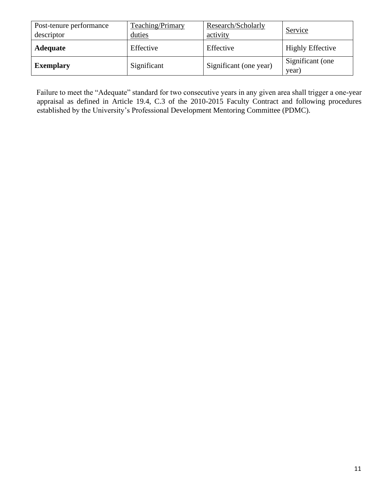| Post-tenure performance<br>descriptor | Teaching/Primary<br>duties | Research/Scholarly<br>activity | Service                   |
|---------------------------------------|----------------------------|--------------------------------|---------------------------|
| <b>Adequate</b>                       | Effective                  | Effective                      | <b>Highly Effective</b>   |
| <b>Exemplary</b>                      | Significant                | Significant (one year)         | Significant (one<br>year) |

Failure to meet the "Adequate" standard for two consecutive years in any given area shall trigger a one-year appraisal as defined in Article 19.4, C.3 of the 2010-2015 Faculty Contract and following procedures established by the University's Professional Development Mentoring Committee (PDMC).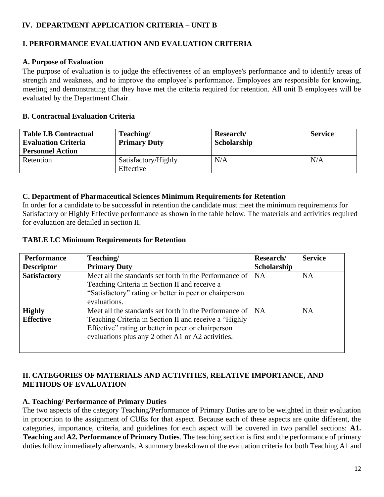## **IV. DEPARTMENT APPLICATION CRITERIA – UNIT B**

## **I. PERFORMANCE EVALUATION AND EVALUATION CRITERIA**

## **A. Purpose of Evaluation**

The purpose of evaluation is to judge the effectiveness of an employee's performance and to identify areas of strength and weakness, and to improve the employee's performance. Employees are responsible for knowing, meeting and demonstrating that they have met the criteria required for retention. All unit B employees will be evaluated by the Department Chair.

## **B. Contractual Evaluation Criteria**

| <b>Table I.B Contractual</b><br><b>Evaluation Criteria</b><br><b>Personnel Action</b> | Teaching/<br><b>Primary Duty</b> | Research/<br>Scholarship | <b>Service</b> |
|---------------------------------------------------------------------------------------|----------------------------------|--------------------------|----------------|
| Retention                                                                             | Satisfactory/Highly<br>Effective | N/A                      | N/A            |

## **C. Department of Pharmaceutical Sciences Minimum Requirements for Retention**

In order for a candidate to be successful in retention the candidate must meet the minimum requirements for Satisfactory or Highly Effective performance as shown in the table below. The materials and activities required for evaluation are detailed in section II.

## **TABLE I.C Minimum Requirements for Retention**

| <b>Performance</b>  | Teaching/                                              | Research/   | <b>Service</b> |
|---------------------|--------------------------------------------------------|-------------|----------------|
| <b>Descriptor</b>   | <b>Primary Duty</b>                                    | Scholarship |                |
| <b>Satisfactory</b> | Meet all the standards set forth in the Performance of | <b>NA</b>   | <b>NA</b>      |
|                     | Teaching Criteria in Section II and receive a          |             |                |
|                     | "Satisfactory" rating or better in peer or chairperson |             |                |
|                     | evaluations.                                           |             |                |
| <b>Highly</b>       | Meet all the standards set forth in the Performance of | NA.         | <b>NA</b>      |
| <b>Effective</b>    | Teaching Criteria in Section II and receive a "Highly" |             |                |
|                     | Effective" rating or better in peer or chairperson     |             |                |
|                     | evaluations plus any 2 other A1 or A2 activities.      |             |                |
|                     |                                                        |             |                |

## **II. CATEGORIES OF MATERIALS AND ACTIVITIES, RELATIVE IMPORTANCE, AND METHODS OF EVALUATION**

## **A. Teaching/ Performance of Primary Duties**

The two aspects of the category Teaching/Performance of Primary Duties are to be weighted in their evaluation in proportion to the assignment of CUEs for that aspect. Because each of these aspects are quite different, the categories, importance, criteria, and guidelines for each aspect will be covered in two parallel sections: **A1. Teaching** and **A2. Performance of Primary Duties**. The teaching section is first and the performance of primary duties follow immediately afterwards. A summary breakdown of the evaluation criteria for both Teaching A1 and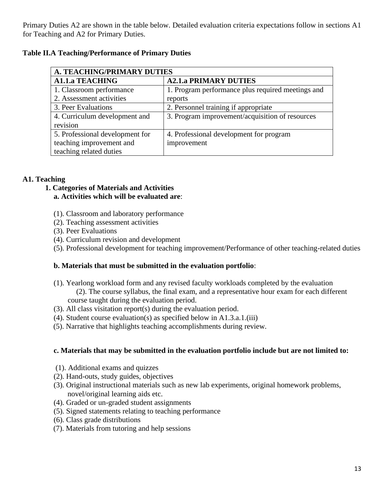Primary Duties A2 are shown in the table below. Detailed evaluation criteria expectations follow in sections A1 for Teaching and A2 for Primary Duties.

## **Table II.A Teaching/Performance of Primary Duties**

| <b>A. TEACHING/PRIMARY DUTIES</b> |                                                   |  |
|-----------------------------------|---------------------------------------------------|--|
| <b>A1.1.a TEACHING</b>            | <b>A2.1.a PRIMARY DUTIES</b>                      |  |
| 1. Classroom performance          | 1. Program performance plus required meetings and |  |
| 2. Assessment activities          | reports                                           |  |
| 3. Peer Evaluations               | 2. Personnel training if appropriate              |  |
| 4. Curriculum development and     | 3. Program improvement/acquisition of resources   |  |
| revision                          |                                                   |  |
| 5. Professional development for   | 4. Professional development for program           |  |
| teaching improvement and          | improvement                                       |  |
| teaching related duties           |                                                   |  |

## **A1. Teaching**

- **1. Categories of Materials and Activities a. Activities which will be evaluated are**:
	- (1). Classroom and laboratory performance
	- (2). Teaching assessment activities
	- (3). Peer Evaluations
	- (4). Curriculum revision and development
	- (5). Professional development for teaching improvement/Performance of other teaching-related duties

## **b. Materials that must be submitted in the evaluation portfolio**:

- (1). Yearlong workload form and any revised faculty workloads completed by the evaluation (2). The course syllabus, the final exam, and a representative hour exam for each different course taught during the evaluation period.
- (3). All class visitation report(s) during the evaluation period.
- (4). Student course evaluation(s) as specified below in A1.3.a.1.(iii)
- (5). Narrative that highlights teaching accomplishments during review.

## **c. Materials that may be submitted in the evaluation portfolio include but are not limited to:**

- (1). Additional exams and quizzes
- (2). Hand-outs, study guides, objectives
- (3). Original instructional materials such as new lab experiments, original homework problems, novel/original learning aids etc.
- (4). Graded or un-graded student assignments
- (5). Signed statements relating to teaching performance
- (6). Class grade distributions
- (7). Materials from tutoring and help sessions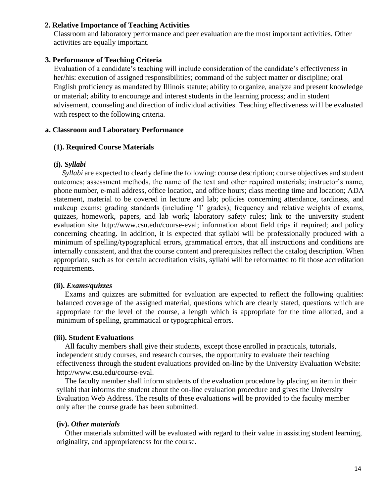#### **2. Relative Importance of Teaching Activities**

Classroom and laboratory performance and peer evaluation are the most important activities. Other activities are equally important.

#### **3. Performance of Teaching Criteria**

Evaluation of a candidate's teaching will include consideration of the candidate's effectiveness in her/his: execution of assigned responsibilities; command of the subject matter or discipline; oral English proficiency as mandated by Illinois statute; ability to organize, analyze and present knowledge or material; ability to encourage and interest students in the learning process; and in student advisement, counseling and direction of individual activities. Teaching effectiveness wi1l be evaluated with respect to the following criteria.

#### **a. Classroom and Laboratory Performance**

#### **(1). Required Course Materials**

#### **(i). S***yllabi*

*Syllabi* are expected to clearly define the following: course description; course objectives and student outcomes; assessment methods, the name of the text and other required materials; instructor's name, phone number, e-mail address, office location, and office hours; class meeting time and location; ADA statement, material to be covered in lecture and lab; policies concerning attendance, tardiness, and makeup exams; grading standards (including 'I' grades); frequency and relative weights of exams, quizzes, homework, papers, and lab work; laboratory safety rules; link to the university student evaluation site http://www.csu.edu/course-eval; information about field trips if required; and policy concerning cheating. In addition, it is expected that syllabi will be professionally produced with a minimum of spelling/typographical errors, grammatical errors, that all instructions and conditions are internally consistent, and that the course content and prerequisites reflect the catalog description. When appropriate, such as for certain accreditation visits, syllabi will be reformatted to fit those accreditation requirements.

#### **(ii).** *Exams/quizzes*

Exams and quizzes are submitted for evaluation are expected to reflect the following qualities: balanced coverage of the assigned material, questions which are clearly stated, questions which are appropriate for the level of the course, a length which is appropriate for the time allotted, and a minimum of spelling, grammatical or typographical errors.

#### **(iii). Student Evaluations**

All faculty members shall give their students, except those enrolled in practicals, tutorials, independent study courses, and research courses, the opportunity to evaluate their teaching effectiveness through the student evaluations provided on-line by the University Evaluation Website: http://www.csu.edu/course-eval.

The faculty member shall inform students of the evaluation procedure by placing an item in their syllabi that informs the student about the on-line evaluation procedure and gives the University Evaluation Web Address. The results of these evaluations will be provided to the faculty member only after the course grade has been submitted.

#### **(iv).** *Other materials*

Other materials submitted will be evaluated with regard to their value in assisting student learning, originality, and appropriateness for the course.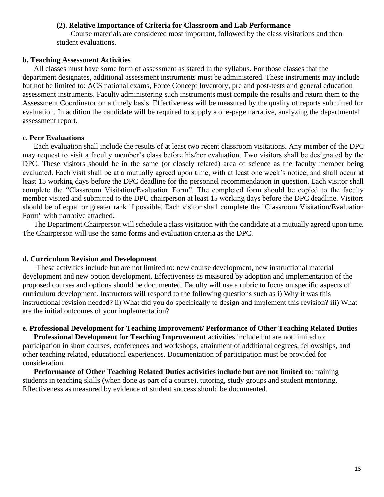#### **(2). Relative Importance of Criteria for Classroom and Lab Performance**

Course materials are considered most important, followed by the class visitations and then student evaluations.

#### **b. Teaching Assessment Activities**

All classes must have some form of assessment as stated in the syllabus. For those classes that the department designates, additional assessment instruments must be administered. These instruments may include but not be limited to: ACS national exams, Force Concept Inventory, pre and post-tests and general education assessment instruments. Faculty administering such instruments must compile the results and return them to the Assessment Coordinator on a timely basis. Effectiveness will be measured by the quality of reports submitted for evaluation. In addition the candidate will be required to supply a one-page narrative, analyzing the departmental assessment report.

#### **c. Peer Evaluations**

Each evaluation shall include the results of at least two recent classroom visitations. Any member of the DPC may request to visit a faculty member's class before his/her evaluation. Two visitors shall be designated by the DPC. These visitors should be in the same (or closely related) area of science as the faculty member being evaluated. Each visit shall be at a mutually agreed upon time, with at least one week's notice, and shall occur at least 15 working days before the DPC deadline for the personnel recommendation in question. Each visitor shall complete the "Classroom Visitation/Evaluation Form". The completed form should be copied to the faculty member visited and submitted to the DPC chairperson at least 15 working days before the DPC deadline. Visitors should be of equal or greater rank if possible. Each visitor shall complete the "Classroom Visitation/Evaluation Form" with narrative attached.

The Department Chairperson will schedule a class visitation with the candidate at a mutually agreed upon time. The Chairperson will use the same forms and evaluation criteria as the DPC.

#### **d. Curriculum Revision and Development**

These activities include but are not limited to: new course development, new instructional material development and new option development. Effectiveness as measured by adoption and implementation of the proposed courses and options should be documented. Faculty will use a rubric to focus on specific aspects of curriculum development. Instructors will respond to the following questions such as i) Why it was this instructional revision needed? ii) What did you do specifically to design and implement this revision? iii) What are the initial outcomes of your implementation?

#### **e. Professional Development for Teaching Improvement/ Performance of Other Teaching Related Duties**

**Professional Development for Teaching Improvement** activities include but are not limited to: participation in short courses, conferences and workshops, attainment of additional degrees, fellowships, and other teaching related, educational experiences. Documentation of participation must be provided for consideration.

**Performance of Other Teaching Related Duties activities include but are not limited to:** training students in teaching skills (when done as part of a course), tutoring, study groups and student mentoring. Effectiveness as measured by evidence of student success should be documented.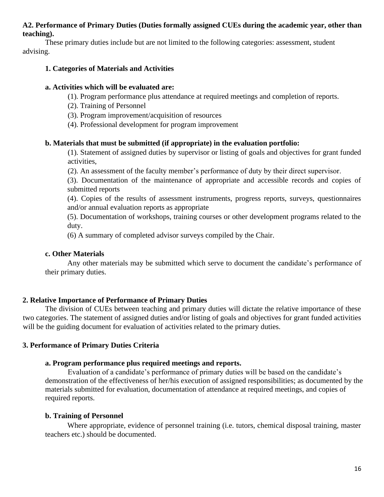#### **A2. Performance of Primary Duties (Duties formally assigned CUEs during the academic year, other than teaching).**

These primary duties include but are not limited to the following categories: assessment, student advising.

#### **1. Categories of Materials and Activities**

#### **a. Activities which will be evaluated are:**

(1). Program performance plus attendance at required meetings and completion of reports.

- (2). Training of Personnel
- (3). Program improvement/acquisition of resources
- (4). Professional development for program improvement

## **b. Materials that must be submitted (if appropriate) in the evaluation portfolio:**

(1). Statement of assigned duties by supervisor or listing of goals and objectives for grant funded activities,

(2). An assessment of the faculty member's performance of duty by their direct supervisor.

(3). Documentation of the maintenance of appropriate and accessible records and copies of submitted reports

(4). Copies of the results of assessment instruments, progress reports, surveys, questionnaires and/or annual evaluation reports as appropriate

(5). Documentation of workshops, training courses or other development programs related to the duty.

(6) A summary of completed advisor surveys compiled by the Chair.

## **c. Other Materials**

Any other materials may be submitted which serve to document the candidate's performance of their primary duties.

## **2. Relative Importance of Performance of Primary Duties**

The division of CUEs between teaching and primary duties will dictate the relative importance of these two categories. The statement of assigned duties and/or listing of goals and objectives for grant funded activities will be the guiding document for evaluation of activities related to the primary duties.

## **3. Performance of Primary Duties Criteria**

## **a. Program performance plus required meetings and reports.**

Evaluation of a candidate's performance of primary duties will be based on the candidate's demonstration of the effectiveness of her/his execution of assigned responsibilities; as documented by the materials submitted for evaluation, documentation of attendance at required meetings, and copies of required reports.

## **b. Training of Personnel**

Where appropriate, evidence of personnel training (i.e. tutors, chemical disposal training, master teachers etc.) should be documented.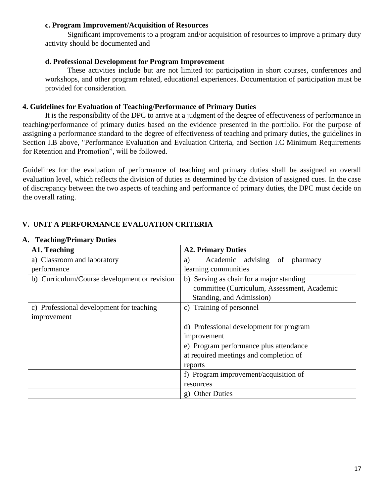#### **c. Program Improvement/Acquisition of Resources**

Significant improvements to a program and/or acquisition of resources to improve a primary duty activity should be documented and

#### **d. Professional Development for Program Improvement**

These activities include but are not limited to: participation in short courses, conferences and workshops, and other program related, educational experiences. Documentation of participation must be provided for consideration.

## **4. Guidelines for Evaluation of Teaching/Performance of Primary Duties**

It is the responsibility of the DPC to arrive at a judgment of the degree of effectiveness of performance in teaching/performance of primary duties based on the evidence presented in the portfolio. For the purpose of assigning a performance standard to the degree of effectiveness of teaching and primary duties, the guidelines in Section I.B above, "Performance Evaluation and Evaluation Criteria, and Section I.C Minimum Requirements for Retention and Promotion", will be followed.

Guidelines for the evaluation of performance of teaching and primary duties shall be assigned an overall evaluation level, which reflects the division of duties as determined by the division of assigned cues. In the case of discrepancy between the two aspects of teaching and performance of primary duties, the DPC must decide on the overall rating.

## **V. UNIT A PERFORMANCE EVALUATION CRITERIA**

| A1. Teaching                                 | <b>A2. Primary Duties</b>                   |  |  |
|----------------------------------------------|---------------------------------------------|--|--|
| a) Classroom and laboratory                  | Academic advising of pharmacy<br>a)         |  |  |
| performance                                  | learning communities                        |  |  |
| b) Curriculum/Course development or revision | b) Serving as chair for a major standing    |  |  |
|                                              | committee (Curriculum, Assessment, Academic |  |  |
|                                              | Standing, and Admission)                    |  |  |
| c) Professional development for teaching     | c) Training of personnel                    |  |  |
| improvement                                  |                                             |  |  |
|                                              | d) Professional development for program     |  |  |
|                                              | improvement                                 |  |  |
|                                              | e) Program performance plus attendance      |  |  |
|                                              | at required meetings and completion of      |  |  |
|                                              | reports                                     |  |  |
|                                              | f) Program improvement/acquisition of       |  |  |
|                                              | resources                                   |  |  |
|                                              | g) Other Duties                             |  |  |

#### **A. Teaching/Primary Duties**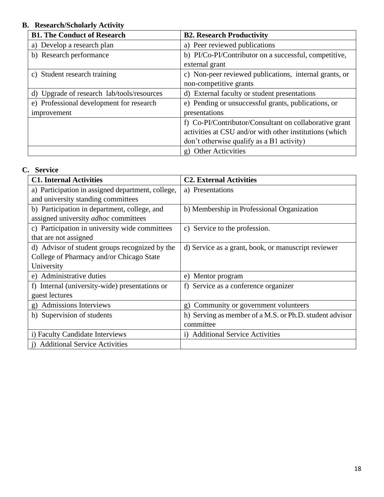## **B. Research/Scholarly Activity**

| <b>B1. The Conduct of Research</b>         | <b>B2. Research Productivity</b>                        |
|--------------------------------------------|---------------------------------------------------------|
| a) Develop a research plan                 | a) Peer reviewed publications                           |
| b) Research performance                    | b) PI/Co-PI/Contributor on a successful, competitive,   |
|                                            | external grant                                          |
| c) Student research training               | c) Non-peer reviewed publications, internal grants, or  |
|                                            | non-competitive grants                                  |
| d) Upgrade of research lab/tools/resources | d) External faculty or student presentations            |
| e) Professional development for research   | e) Pending or unsuccessful grants, publications, or     |
| improvement                                | presentations                                           |
|                                            | f) Co-PI/Contributor/Consultant on collaborative grant  |
|                                            | activities at CSU and/or with other institutions (which |
|                                            | don't otherwise qualify as a B1 activity)               |
|                                            | <b>Other Acticvities</b><br>$\mathfrak{g}$ )            |

## **C. Service**

| <b>C1. Internal Activities</b>                       | <b>C2. External Activities</b>                          |
|------------------------------------------------------|---------------------------------------------------------|
| a) Participation in assigned department, college,    | a) Presentations                                        |
| and university standing committees                   |                                                         |
| b) Participation in department, college, and         | b) Membership in Professional Organization              |
| assigned university adhoc committees                 |                                                         |
| c) Participation in university wide committees       | c) Service to the profession.                           |
| that are not assigned                                |                                                         |
| d) Advisor of student groups recognized by the       | d) Service as a grant, book, or manuscript reviewer     |
| College of Pharmacy and/or Chicago State             |                                                         |
| University                                           |                                                         |
| e) Administrative duties                             | Mentor program<br>e)                                    |
| f) Internal (university-wide) presentations or       | Service as a conference organizer<br>f)                 |
| guest lectures                                       |                                                         |
| <b>Admissions Interviews</b><br>$\mathbf{g}$         | Community or government volunteers<br>$\mathbf{g}$      |
| h) Supervision of students                           | h) Serving as member of a M.S. or Ph.D. student advisor |
|                                                      | committee                                               |
| i) Faculty Candidate Interviews                      | i) Additional Service Activities                        |
| <b>Additional Service Activities</b><br>$\mathbf{1}$ |                                                         |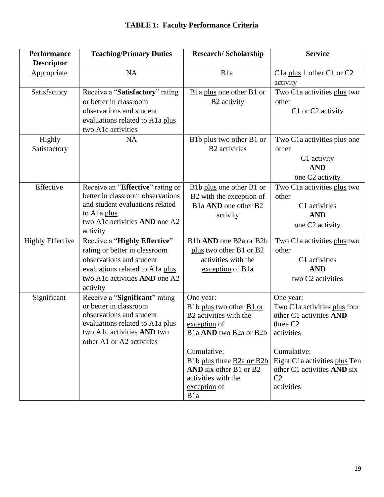| <b>Performance</b>      | <b>Teaching/Primary Duties</b>               | <b>Research/Scholarship</b>                   | <b>Service</b>                                                 |
|-------------------------|----------------------------------------------|-----------------------------------------------|----------------------------------------------------------------|
| <b>Descriptor</b>       |                                              |                                               |                                                                |
| Appropriate             | <b>NA</b>                                    | B <sub>1</sub> a                              | C <sub>1</sub> a plus 1 other C <sub>1</sub> or C <sub>2</sub> |
|                         |                                              |                                               | activity                                                       |
| Satisfactory            | Receive a "Satisfactory" rating              | B1a plus one other B1 or                      | Two C1a activities plus two                                    |
|                         | or better in classroom                       | B <sub>2</sub> activity                       | other                                                          |
|                         | observations and student                     |                                               | C1 or C2 activity                                              |
|                         | evaluations related to A1a plus              |                                               |                                                                |
|                         | two A1c activities                           |                                               |                                                                |
| Highly                  | NA                                           | B1b plus two other B1 or                      | Two C <sub>1</sub> activities plus one                         |
| Satisfactory            |                                              | <b>B2</b> activities                          | other                                                          |
|                         |                                              |                                               | C1 activity                                                    |
|                         |                                              |                                               | <b>AND</b>                                                     |
|                         |                                              |                                               | one C2 activity                                                |
| Effective               | Receive an "Effective" rating or             | B1b plus one other B1 or                      | Two C <sub>1</sub> a activities plus two                       |
|                         | better in classroom observations             | B2 with the exception of                      | other                                                          |
|                         | and student evaluations related              | B <sub>1</sub> a AND one other B <sub>2</sub> | C1 activities                                                  |
|                         | to Ala plus<br>two A1c activities AND one A2 | activity                                      | <b>AND</b>                                                     |
|                         | activity                                     |                                               | one C2 activity                                                |
| <b>Highly Effective</b> | Receive a "Highly Effective"                 | B1b AND one B2a or B2b                        | Two C1a activities plus two                                    |
|                         | rating or better in classroom                | plus two other B1 or B2                       | other                                                          |
|                         | observations and student                     | activities with the                           | C1 activities                                                  |
|                         | evaluations related to A1a plus              | exception of B1a                              | <b>AND</b>                                                     |
|                         | two A1c activities AND one A2                |                                               | two C2 activities                                              |
|                         | activity                                     |                                               |                                                                |
| Significant             | Receive a "Significant" rating               | One year:                                     | One year:                                                      |
|                         | or better in classroom                       | B1b plus two other B1 or                      | Two C1a activities plus four                                   |
|                         | observations and student                     | B2 activities with the                        | other C1 activities AND                                        |
|                         | evaluations related to A1a plus              | exception of                                  | three C <sub>2</sub>                                           |
|                         | two A1c activities AND two                   | B1a AND two B2a or B2b                        | activities                                                     |
|                         | other A1 or A2 activities                    |                                               |                                                                |
|                         |                                              | Cumulative:                                   | Cumulative:                                                    |
|                         |                                              | B1b plus three B2a or B2b                     | Eight C1a activities plus Ten                                  |
|                         |                                              | AND six other B1 or B2                        | other C1 activities <b>AND</b> six                             |
|                         |                                              | activities with the<br>exception of           | C <sub>2</sub><br>activities                                   |
|                         |                                              | B <sub>1</sub> a                              |                                                                |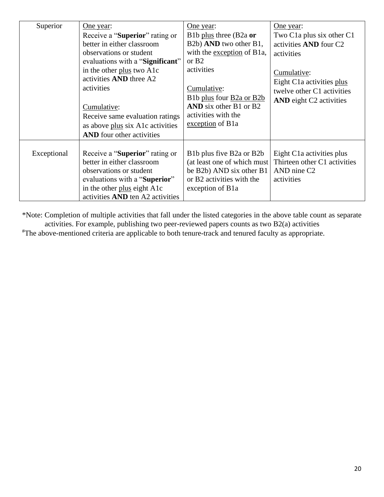| Superior    | One year:                               | One year:                                                       | <u>One year:</u>                                   |
|-------------|-----------------------------------------|-----------------------------------------------------------------|----------------------------------------------------|
|             | Receive a "Superior" rating or          | B1b plus three (B2a or                                          | Two C <sub>1</sub> a plus six other C <sub>1</sub> |
|             | better in either classroom              | B2b) AND two other B1,                                          | activities AND four C2                             |
|             | observations or student                 | with the exception of B1a,                                      | activities                                         |
|             | evaluations with a "Significant"        | or $B2$                                                         |                                                    |
|             | in the other plus two A1c               | activities                                                      | Cumulative:                                        |
|             | activities <b>AND</b> three A2          |                                                                 | Eight C <sub>1</sub> activities plus               |
|             | activities                              | Cumulative:                                                     | twelve other C1 activities                         |
|             |                                         | B1b plus four B2a or B2b                                        | AND eight C2 activities                            |
|             | Cumulative:                             | AND six other B1 or B2                                          |                                                    |
|             | Receive same evaluation ratings         | activities with the                                             |                                                    |
|             | as above plus six A1c activities        | exception of B1a                                                |                                                    |
|             | <b>AND</b> four other activities        |                                                                 |                                                    |
|             |                                         |                                                                 |                                                    |
| Exceptional | Receive a " <b>Superior</b> " rating or | B <sub>1</sub> b plus five B <sub>2</sub> a or B <sub>2</sub> b | Eight C <sub>1</sub> activities plus               |
|             | better in either classroom              | (at least one of which must                                     | Thirteen other C1 activities                       |
|             | observations or student                 | be B2b) AND six other B1                                        | AND nine C <sub>2</sub>                            |
|             | evaluations with a " <b>Superior</b> "  | or B2 activities with the                                       | activities                                         |
|             | in the other plus eight A1c             | exception of B1a                                                |                                                    |
|             | activities AND ten A2 activities        |                                                                 |                                                    |

\*Note: Completion of multiple activities that fall under the listed categories in the above table count as separate activities. For example, publishing two peer-reviewed papers counts as two B2(a) activities

#The above-mentioned criteria are applicable to both tenure-track and tenured faculty as appropriate.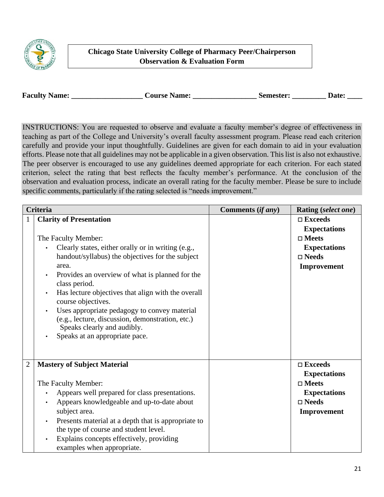

## **Chicago State University College of Pharmacy Peer/Chairperson Observation & Evaluation Form**

| <b>Faculty Name:</b><br>Semester: |  | <b>Course Name:</b> |  | <b>Date:</b> |
|-----------------------------------|--|---------------------|--|--------------|
|-----------------------------------|--|---------------------|--|--------------|

INSTRUCTIONS: You are requested to observe and evaluate a faculty member's degree of effectiveness in teaching as part of the College and University's overall faculty assessment program. Please read each criterion carefully and provide your input thoughtfully. Guidelines are given for each domain to aid in your evaluation efforts. Please note that all guidelines may not be applicable in a given observation. This list is also not exhaustive. The peer observer is encouraged to use any guidelines deemed appropriate for each criterion. For each stated criterion, select the rating that best reflects the faculty member's performance. At the conclusion of the observation and evaluation process, indicate an overall rating for the faculty member. Please be sure to include specific comments, particularly if the rating selected is "needs improvement."

|                | <b>Criteria</b>                                                                                                                                                                                                                                                                                                                                                                                                                                                                                                                                   | Comments (if any) | Rating (select one)                                                                                                  |
|----------------|---------------------------------------------------------------------------------------------------------------------------------------------------------------------------------------------------------------------------------------------------------------------------------------------------------------------------------------------------------------------------------------------------------------------------------------------------------------------------------------------------------------------------------------------------|-------------------|----------------------------------------------------------------------------------------------------------------------|
| 1              | <b>Clarity of Presentation</b><br>The Faculty Member:<br>Clearly states, either orally or in writing (e.g.,<br>$\bullet$<br>handout/syllabus) the objectives for the subject<br>area.<br>Provides an overview of what is planned for the<br>$\bullet$<br>class period.<br>Has lecture objectives that align with the overall<br>$\bullet$<br>course objectives.<br>Uses appropriate pedagogy to convey material<br>$\bullet$<br>(e.g., lecture, discussion, demonstration, etc.)<br>Speaks clearly and audibly.<br>Speaks at an appropriate pace. |                   | $\Box$ Exceeds<br><b>Expectations</b><br>$\square$ Meets<br><b>Expectations</b><br>$\square$ Needs<br>Improvement    |
| $\overline{2}$ | <b>Mastery of Subject Material</b><br>The Faculty Member:<br>Appears well prepared for class presentations.<br>$\bullet$<br>Appears knowledgeable and up-to-date about<br>subject area.<br>Presents material at a depth that is appropriate to<br>$\bullet$<br>the type of course and student level.<br>Explains concepts effectively, providing<br>examples when appropriate.                                                                                                                                                                    |                   | $\square$ Exceeds<br><b>Expectations</b><br>$\square$ Meets<br><b>Expectations</b><br>$\square$ Needs<br>Improvement |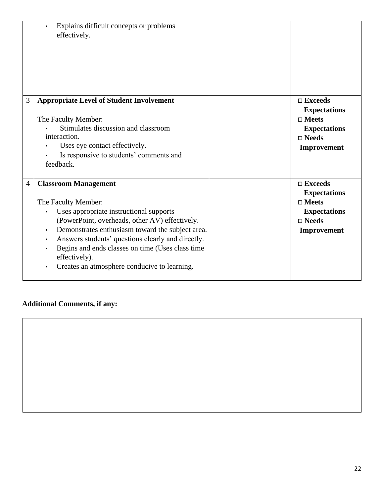|   | Explains difficult concepts or problems<br>effectively.                                                                                                                                                                                                                                                                                                                                                                           |                                                                                                                      |
|---|-----------------------------------------------------------------------------------------------------------------------------------------------------------------------------------------------------------------------------------------------------------------------------------------------------------------------------------------------------------------------------------------------------------------------------------|----------------------------------------------------------------------------------------------------------------------|
| 3 | <b>Appropriate Level of Student Involvement</b><br>The Faculty Member:<br>Stimulates discussion and classroom<br>interaction.<br>Uses eye contact effectively.<br>Is responsive to students' comments and<br>feedback.                                                                                                                                                                                                            | $\square$ Exceeds<br><b>Expectations</b><br>$\square$ Meets<br><b>Expectations</b><br>$\square$ Needs<br>Improvement |
| 4 | <b>Classroom Management</b><br>The Faculty Member:<br>Uses appropriate instructional supports<br>(PowerPoint, overheads, other AV) effectively.<br>Demonstrates enthusiasm toward the subject area.<br>$\bullet$<br>Answers students' questions clearly and directly.<br>$\bullet$<br>Begins and ends classes on time (Uses class time<br>$\bullet$<br>effectively).<br>Creates an atmosphere conducive to learning.<br>$\bullet$ | $\square$ Exceeds<br><b>Expectations</b><br>$\square$ Meets<br><b>Expectations</b><br>$\square$ Needs<br>Improvement |

# **Additional Comments, if any:**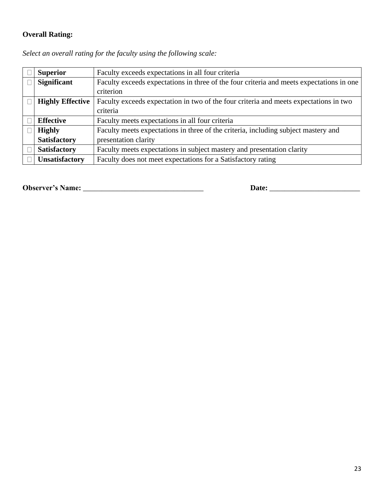## **Overall Rating:**

| <b>Superior</b>         | Faculty exceeds expectations in all four criteria                                        |
|-------------------------|------------------------------------------------------------------------------------------|
| <b>Significant</b>      | Faculty exceeds expectations in three of the four criteria and meets expectations in one |
|                         | criterion                                                                                |
| <b>Highly Effective</b> | Faculty exceeds expectation in two of the four criteria and meets expectations in two    |
|                         | criteria                                                                                 |
| <b>Effective</b>        | Faculty meets expectations in all four criteria                                          |
| <b>Highly</b>           | Faculty meets expectations in three of the criteria, including subject mastery and       |
| <b>Satisfactory</b>     | presentation clarity                                                                     |
| <b>Satisfactory</b>     | Faculty meets expectations in subject mastery and presentation clarity                   |
| <b>Unsatisfactory</b>   | Faculty does not meet expectations for a Satisfactory rating                             |

*Select an overall rating for the faculty using the following scale:* 

**Observer's Name:** \_\_\_\_\_\_\_\_\_\_\_\_\_\_\_\_\_\_\_\_\_\_\_\_\_\_\_\_\_\_\_\_ **Date:** \_\_\_\_\_\_\_\_\_\_\_\_\_\_\_\_\_\_\_\_\_\_\_\_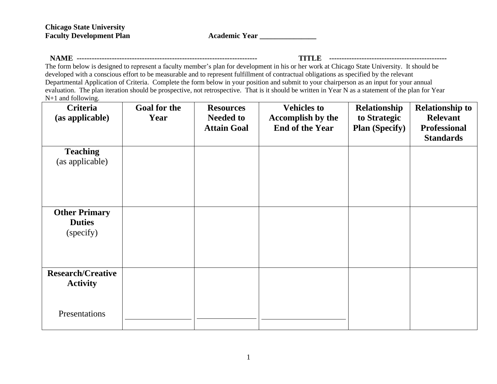Academic Year **\_\_\_\_\_\_\_\_\_\_\_** 

**NAME ------------------------------------------------------------------------ TITLE -----------------------------------------------**

The form below is designed to represent a faculty member's plan for development in his or her work at Chicago State University. It should be developed with a conscious effort to be measurable and to represent fulfillment of contractual obligations as specified by the relevant Departmental Application of Criteria. Complete the form below in your position and submit to your chairperson as an input for your annual evaluation. The plan iteration should be prospective, not retrospective. That is it should be written in Year N as a statement of the plan for Year N+1 and following.

| <b>Criteria</b><br>(as applicable)                 | <b>Goal for the</b><br>Year | <b>Resources</b><br><b>Needed to</b><br><b>Attain Goal</b> | <b>Vehicles to</b><br>Accomplish by the<br><b>End of the Year</b> | Relationship<br>to Strategic<br><b>Plan (Specify)</b> | <b>Relationship to</b><br><b>Relevant</b><br><b>Professional</b><br><b>Standards</b> |
|----------------------------------------------------|-----------------------------|------------------------------------------------------------|-------------------------------------------------------------------|-------------------------------------------------------|--------------------------------------------------------------------------------------|
| <b>Teaching</b><br>(as applicable)                 |                             |                                                            |                                                                   |                                                       |                                                                                      |
| <b>Other Primary</b><br><b>Duties</b><br>(specify) |                             |                                                            |                                                                   |                                                       |                                                                                      |
| <b>Research/Creative</b><br><b>Activity</b>        |                             |                                                            |                                                                   |                                                       |                                                                                      |
| Presentations                                      |                             |                                                            |                                                                   |                                                       |                                                                                      |